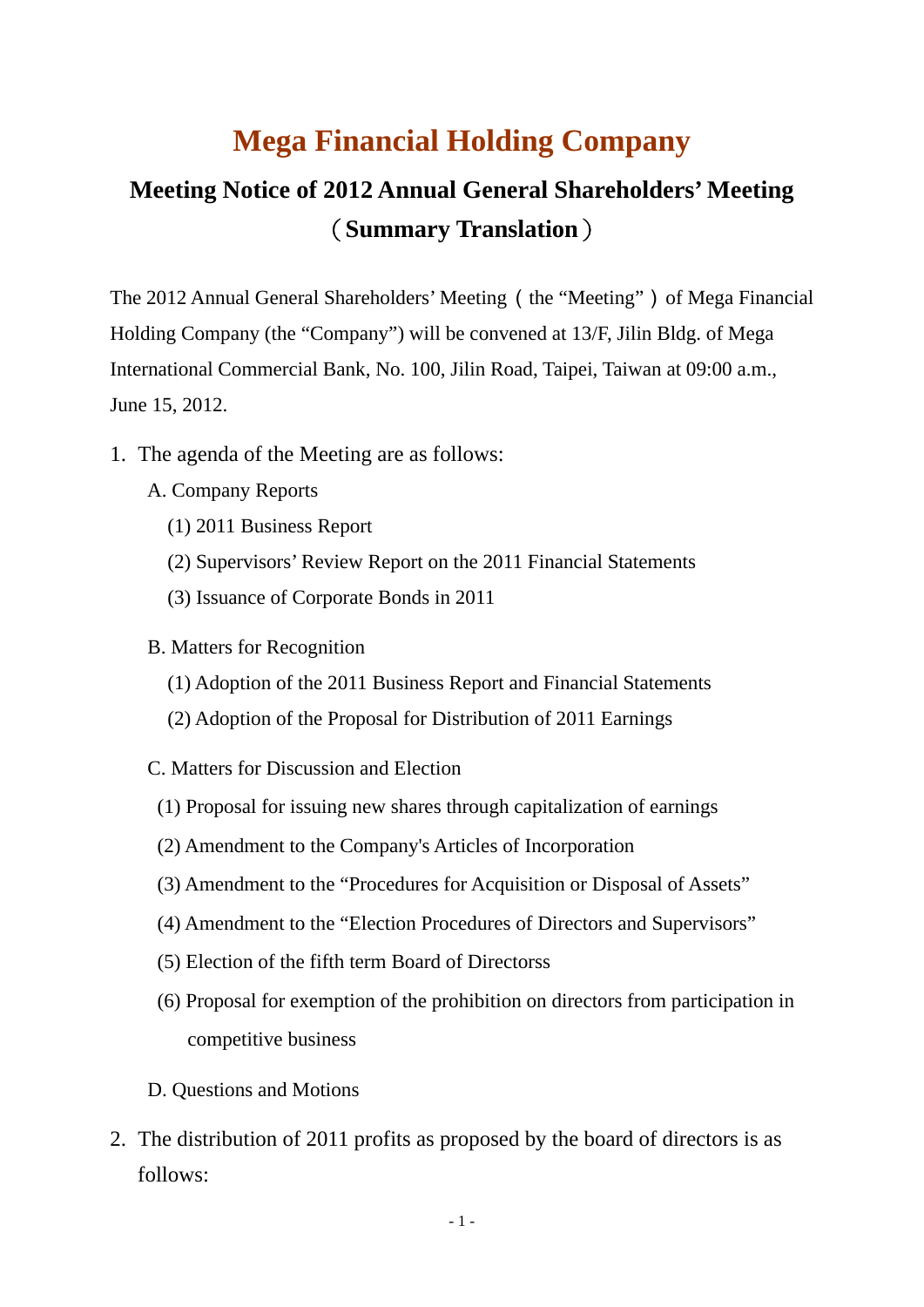## **Mega Financial Holding Company**

## **Meeting Notice of 2012 Annual General Shareholders' Meeting** (**Summary Translation**)

The 2012 Annual General Shareholders' Meeting (the "Meeting") of Mega Financial Holding Company (the "Company") will be convened at 13/F, Jilin Bldg. of Mega International Commercial Bank, No. 100, Jilin Road, Taipei, Taiwan at 09:00 a.m., June 15, 2012.

- 1. The agenda of the Meeting are as follows:
	- A. Company Reports
		- (1) 2011 Business Report
		- (2) Supervisors' Review Report on the 2011 Financial Statements
		- (3) Issuance of Corporate Bonds in 2011
	- B. Matters for Recognition
		- (1) Adoption of the 2011 Business Report and Financial Statements
		- (2) Adoption of the Proposal for Distribution of 2011 Earnings
	- C. Matters for Discussion and Election
		- (1) Proposal for issuing new shares through capitalization of earnings
		- (2) Amendment to the Company's Articles of Incorporation
		- (3) Amendment to the "Procedures for Acquisition or Disposal of Assets"
		- (4) Amendment to the "Election Procedures of Directors and Supervisors"
		- (5) Election of the fifth term Board of Directorss
		- (6) Proposal for exemption of the prohibition on directors from participation in competitive business
	- D. Questions and Motions
- 2. The distribution of 2011 profits as proposed by the board of directors is as follows: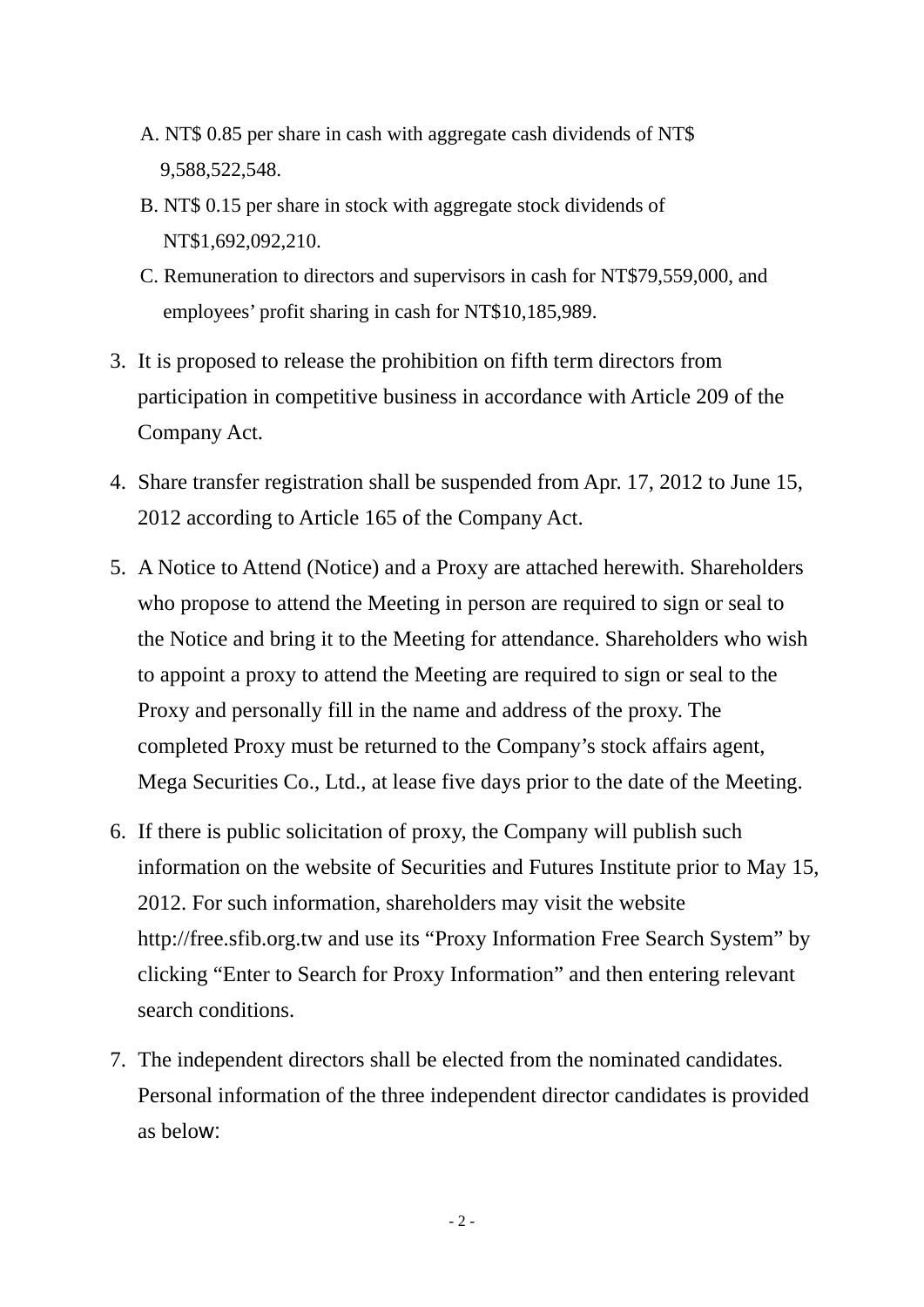- A. NT\$ 0.85 per share in cash with aggregate cash dividends of NT\$ 9,588,522,548.
- B. NT\$ 0.15 per share in stock with aggregate stock dividends of NT\$1,692,092,210.
- C. Remuneration to directors and supervisors in cash for NT\$79,559,000, and employees' profit sharing in cash for NT\$10,185,989.
- 3. It is proposed to release the prohibition on fifth term directors from participation in competitive business in accordance with Article 209 of the Company Act.
- 4. Share transfer registration shall be suspended from Apr. 17, 2012 to June 15, 2012 according to Article 165 of the Company Act.
- 5. A Notice to Attend (Notice) and a Proxy are attached herewith. Shareholders who propose to attend the Meeting in person are required to sign or seal to the Notice and bring it to the Meeting for attendance. Shareholders who wish to appoint a proxy to attend the Meeting are required to sign or seal to the Proxy and personally fill in the name and address of the proxy. The completed Proxy must be returned to the Company's stock affairs agent, Mega Securities Co., Ltd., at lease five days prior to the date of the Meeting.
- 6. If there is public solicitation of proxy, the Company will publish such information on the website of Securities and Futures Institute prior to May 15, 2012. For such information, shareholders may visit the website http://free.sfib.org.tw and use its "Proxy Information Free Search System" by clicking "Enter to Search for Proxy Information" and then entering relevant search conditions.
- 7. The independent directors shall be elected from the nominated candidates. Personal information of the three independent director candidates is provided as below: